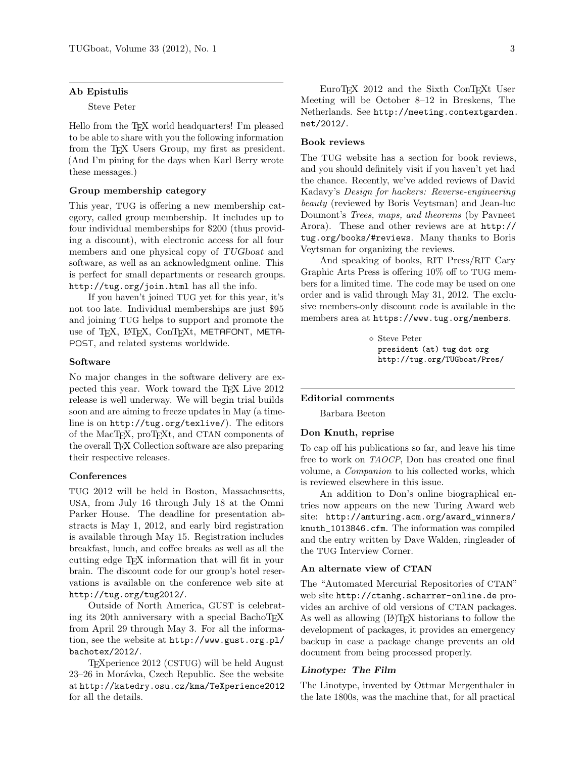## Ab Epistulis

Steve Peter

Hello from the T<sub>E</sub>X world headquarters! I'm pleased to be able to share with you the following information from the TFX Users Group, my first as president. (And I'm pining for the days when Karl Berry wrote these messages.)

## Group membership category

This year, TUG is offering a new membership category, called group membership. It includes up to four individual memberships for \$200 (thus providing a discount), with electronic access for all four members and one physical copy of TUGboat and software, as well as an acknowledgment online. This is perfect for small departments or research groups. http://tug.org/join.html has all the info.

If you haven't joined TUG yet for this year, it's not too late. Individual memberships are just \$95 and joining TUG helps to support and promote the use of TEX, LATEX, ConTEXt, METAFONT, META-POST, and related systems worldwide.

#### Software

No major changes in the software delivery are expected this year. Work toward the TEX Live 2012 release is well underway. We will begin trial builds soon and are aiming to freeze updates in May (a timeline is on http://tug.org/texlive/). The editors of the MacTEX, proTEXt, and CTAN components of the overall TEX Collection software are also preparing their respective releases.

#### **Conferences**

TUG 2012 will be held in Boston, Massachusetts, USA, from July 16 through July 18 at the Omni Parker House. The deadline for presentation abstracts is May 1, 2012, and early bird registration is available through May 15. Registration includes breakfast, lunch, and coffee breaks as well as all the cutting edge TEX information that will fit in your brain. The discount code for our group's hotel reservations is available on the conference web site at http://tug.org/tug2012/.

Outside of North America, GUST is celebrating its 20th anniversary with a special BachoTEX from April 29 through May 3. For all the information, see the website at http://www.gust.org.pl/ bachotex/2012/.

TEXperience 2012 (CSTUG) will be held August 23–26 in Morávka, Czech Republic. See the website at http://katedry.osu.cz/kma/TeXperience2012 for all the details.

EuroTEX 2012 and the Sixth ConTEXt User Meeting will be October 8–12 in Breskens, The Netherlands. See http://meeting.contextgarden. net/2012/.

### Book reviews

The TUG website has a section for book reviews, and you should definitely visit if you haven't yet had the chance. Recently, we've added reviews of David Kadavy's Design for hackers: Reverse-engineering beauty (reviewed by Boris Veytsman) and Jean-luc Doumont's Trees, maps, and theorems (by Pavneet Arora). These and other reviews are at http:// tug.org/books/#reviews. Many thanks to Boris Veytsman for organizing the reviews.

And speaking of books, RIT Press/RIT Cary Graphic Arts Press is offering 10% off to TUG members for a limited time. The code may be used on one order and is valid through May 31, 2012. The exclusive members-only discount code is available in the members area at https://www.tug.org/members.

> Steve Peter president (at) tug dot org http://tug.org/TUGboat/Pres/

#### Editorial comments

Barbara Beeton

#### Don Knuth, reprise

To cap off his publications so far, and leave his time free to work on TAOCP, Don has created one final volume, a Companion to his collected works, which is reviewed elsewhere in this issue.

An addition to Don's online biographical entries now appears on the new Turing Award web site: http://amturing.acm.org/award\_winners/ knuth\_1013846.cfm. The information was compiled and the entry written by Dave Walden, ringleader of the TUG Interview Corner.

# An alternate view of CTAN

The "Automated Mercurial Repositories of CTAN" web site http://ctanhg.scharrer-online.de provides an archive of old versions of CTAN packages. As well as allowing (LA)T<sub>EX</sub> historians to follow the development of packages, it provides an emergency backup in case a package change prevents an old document from being processed properly.

## Linotype: The Film

The Linotype, invented by Ottmar Mergenthaler in the late 1800s, was the machine that, for all practical